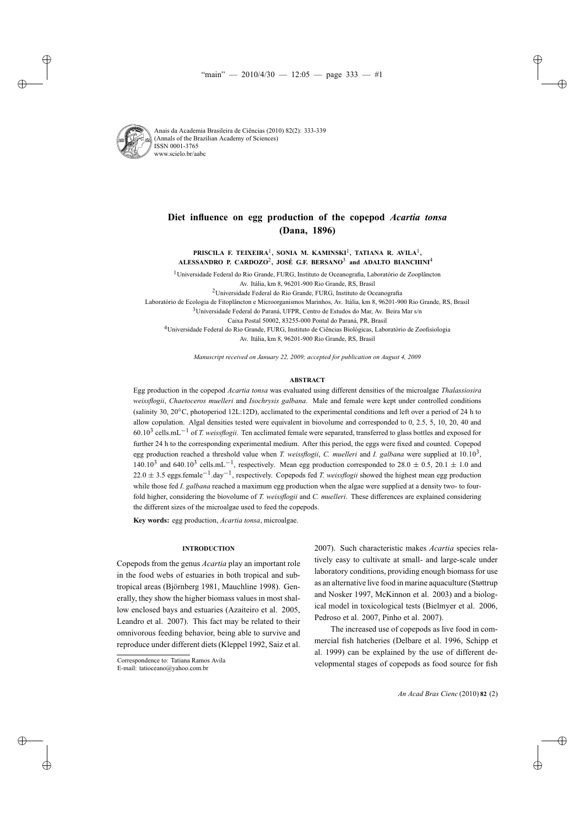

Anais da Academia Brasileira de Ciências (2010) 82(2): 333-339 (Annals of the Brazilian Academy of Sciences) ISSN 0001-3765 www.scielo.br/aabc

# **Diet influence on egg production of the copepod** *Acartia tonsa* **(Dana, 1896)**

**PRISCILA F. TEIXEIRA**1**, SONIA M. KAMINSKI**1**, TATIANA R. AVILA**1**, ALESSANDRO P. CARDOZO**2**, JOSÉ G.F. BERSANO**<sup>3</sup> **and ADALTO BIANCHINI**<sup>4</sup>

<sup>1</sup> Universidade Federal do Rio Grande, FURG, Instituto de Oceanografia, Laboratório de Zooplâncton

2Universidade Federal do Rio Grande, FURG, Instituto de Oceanografia

Laboratório de Ecologia de Fitoplâncton e Microorganismos Marinhos, Av. Itália, km 8, 96201-900 Rio Grande, RS, Brasil

<sup>3</sup>Universidade Federal do Paraná, UFPR, Centro de Estudos do Mar, Av. Beira Mar s/n

Caixa Postal 50002, 83255-000 Pontal do Paraná, PR, Brasil

4Universidade Federal do Rio Grande, FURG, Instituto de Ciências Biológicas, Laboratório de Zoofisiologia Av. Itália, km 8, 96201-900 Rio Grande, RS, Brasil

*Manuscript received on January 22, 2009; accepted for publication on August 4, 2009*

## **ABSTRACT**

Egg production in the copepod *Acartia tonsa* was evaluated using different densities of the microalgae *Thalassiosira weissflogii*, *Chaetoceros muelleri* and *Isochrysis galbana*. Male and female were kept under controlled conditions (salinity 30, 20◦C, photoperiod 12L:12D), acclimated to the experimental conditions and left over a period of 24 h to allow copulation. Algal densities tested were equivalent in biovolume and corresponded to 0, 2.5, 5, 10, 20, 40 and 60.10<sup>3</sup> cells.mL−<sup>1</sup> of *T. weissflogii*. Ten acclimated female were separated, transferred to glass bottles and exposed for further 24 h to the corresponding experimental medium. After this period, the eggs were fixed and counted. Copepod egg production reached a threshold value when *T. weissflogii*, *C. muelleri* and *I. galbana* were supplied at 10.103, 140.10<sup>3</sup> and 640.10<sup>3</sup> cells.mL<sup>-1</sup>, respectively. Mean egg production corresponded to 28.0 ± 0.5, 20.1 ± 1.0 and 22.0 <sup>±</sup> 3.5 eggs.female<sup>−</sup>1.day−1, respectively. Copepods fed *T. weissflogii* showed the highest mean egg production while those fed *I. galbana* reached a maximum egg production when the algae were supplied at a density two- to fourfold higher, considering the biovolume of *T. weissflogii* and *C. muelleri*. These differences are explained considering the different sizes of the microalgae used to feed the copepods.

**Key words:** egg production, *Acartia tonsa*, microalgae.

## **INTRODUCTION**

Copepods from the genus *Acartia* play an important role in the food webs of estuaries in both tropical and subtropical areas (Björnberg 1981, Mauchline 1998). Generally, they show the higher biomass values in most shallow enclosed bays and estuaries (Azaiteiro et al. 2005, Leandro et al. 2007). This fact may be related to their omnivorous feeding behavior, being able to survive and reproduce under different diets (Kleppel 1992, Saiz et al. 2007). Such characteristic makes *Acartia* species relatively easy to cultivate at small- and large-scale under laboratory conditions, providing enough biomass for use as an alternative live food in marine aquaculture (Støttrup and Nosker 1997, McKinnon et al. 2003) and a biological model in toxicological tests (Bielmyer et al. 2006, Pedroso et al. 2007, Pinho et al. 2007).

The increased use of copepods as live food in commercial fish hatcheries (Delbare et al. 1996, Schipp et al. 1999) can be explained by the use of different developmental stages of copepods as food source for fish

Av. Itália, km 8, 96201-900 Rio Grande, RS, Brasil

Correspondence to: Tatiana Ramos Avila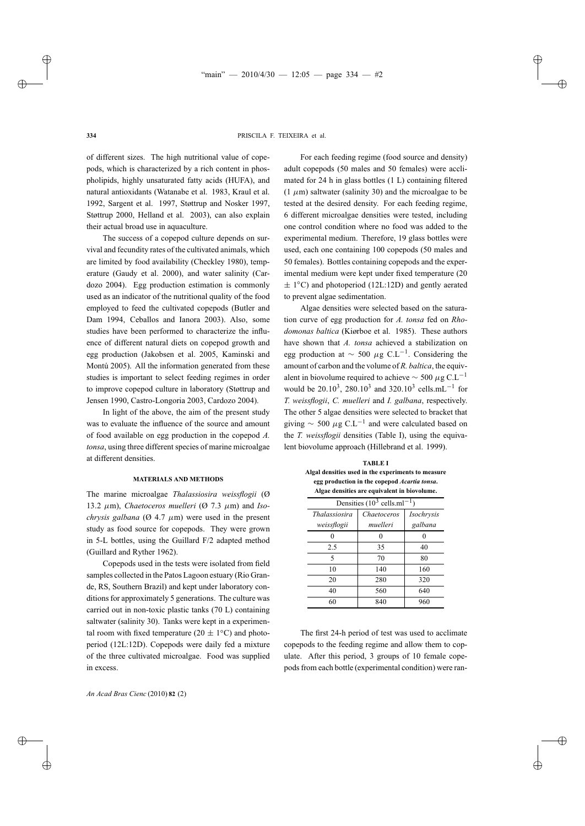of different sizes. The high nutritional value of copepods, which is characterized by a rich content in phospholipids, highly unsaturated fatty acids (HUFA), and natural antioxidants (Watanabe et al. 1983, Kraul et al. 1992, Sargent et al. 1997, Støttrup and Nosker 1997, Støttrup 2000, Helland et al. 2003), can also explain their actual broad use in aquaculture.

The success of a copepod culture depends on survival and fecundity rates of the cultivated animals, which are limited by food availability (Checkley 1980), temperature (Gaudy et al. 2000), and water salinity (Cardozo 2004). Egg production estimation is commonly used as an indicator of the nutritional quality of the food employed to feed the cultivated copepods (Butler and Dam 1994, Ceballos and Ianora 2003). Also, some studies have been performed to characterize the influence of different natural diets on copepod growth and egg production (Jakobsen et al. 2005, Kaminski and Montú 2005). All the information generated from these studies is important to select feeding regimes in order to improve copepod culture in laboratory (Støttrup and Jensen 1990, Castro-Longoria 2003, Cardozo 2004).

In light of the above, the aim of the present study was to evaluate the influence of the source and amount of food available on egg production in the copepod *A. tonsa*, using three different species of marine microalgae at different densities.

### **MATERIALS AND METHODS**

The marine microalgae *Thalassiosira weissflogii* (Ø 13.2 μm), *Chaetoceros muelleri* (Ø 7.3 μm) and *Isochrysis galbana* ( $\varnothing$  4.7  $\mu$ m) were used in the present study as food source for copepods. They were grown in 5-L bottles, using the Guillard F/2 adapted method (Guillard and Ryther 1962).

Copepods used in the tests were isolated from field samples collected in the Patos Lagoon estuary (Rio Grande, RS, Southern Brazil) and kept under laboratory conditions for approximately 5 generations. The culture was carried out in non-toxic plastic tanks (70 L) containing saltwater (salinity 30). Tanks were kept in a experimental room with fixed temperature (20  $\pm$  1<sup>°</sup>C) and photoperiod (12L:12D). Copepods were daily fed a mixture of the three cultivated microalgae. Food was supplied in excess.

For each feeding regime (food source and density) adult copepods (50 males and 50 females) were acclimated for 24 h in glass bottles (1 L) containing filtered  $(1 \mu m)$  saltwater (salinity 30) and the microalgae to be tested at the desired density. For each feeding regime, 6 different microalgae densities were tested, including one control condition where no food was added to the experimental medium. Therefore, 19 glass bottles were used, each one containing 100 copepods (50 males and 50 females). Bottles containing copepods and the experimental medium were kept under fixed temperature (20 ± 1◦C) and photoperiod (12L:12D) and gently aerated to prevent algae sedimentation.

Algae densities were selected based on the saturation curve of egg production for *A. tonsa* fed on *Rhodomonas baltica* (Kiørboe et al. 1985). These authors have shown that *A. tonsa* achieved a stabilization on egg production at  $\sim$  500  $\mu$ g C.L<sup>-1</sup>. Considering the amount of carbon and the volume of *R. baltica*, the equivalent in biovolume required to achieve  $\sim$  500  $\mu$ g C.L<sup>-1</sup> would be 20.10<sup>3</sup>, 280.10<sup>3</sup> and 320.10<sup>3</sup> cells.mL<sup>-1</sup> for *T. weissflogii*, *C. muelleri* and *I. galbana*, respectively. The other 5 algae densities were selected to bracket that giving  $\sim$  500  $\mu$ g C.L<sup>-1</sup> and were calculated based on the *T. weissflogii* densities (Table I), using the equivalent biovolume approach (Hillebrand et al. 1999).

**TABLE I Algal densities used in the experiments to measure egg production in the copepod** *Acartia tonsa***. Algae densities are equivalent in biovolume.**

| Densities $(10^3 \text{ cells.m}1^{-1})$ |             |                   |
|------------------------------------------|-------------|-------------------|
| <i>Thalassiosira</i>                     | Chaetoceros | <i>Isochrysis</i> |
| weissflogii                              | muelleri    | galbana           |
| 0                                        | 0           | $\theta$          |
| 2.5                                      | 35          | 40                |
| 5                                        | 70          | 80                |
| 10                                       | 140         | 160               |
| 20                                       | 280         | 320               |
| 40                                       | 560         | 640               |
| 60                                       | 840         | 960               |

The first 24-h period of test was used to acclimate copepods to the feeding regime and allow them to copulate. After this period, 3 groups of 10 female copepods from each bottle (experimental condition) were ran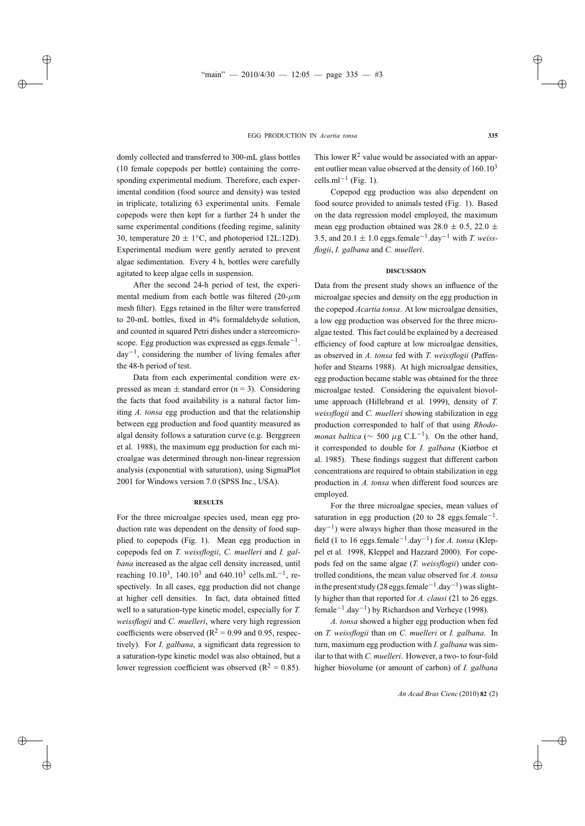domly collected and transferred to 300-mL glass bottles (10 female copepods per bottle) containing the corresponding experimental medium. Therefore, each experimental condition (food source and density) was tested in triplicate, totalizing 63 experimental units. Female copepods were then kept for a further 24 h under the same experimental conditions (feeding regime, salinity 30, temperature  $20 \pm 1$ <sup>°</sup>C, and photoperiod 12L:12D). Experimental medium were gently aerated to prevent algae sedimentation. Every 4 h, bottles were carefully agitated to keep algae cells in suspension.

After the second 24-h period of test, the experimental medium from each bottle was filtered  $(20-\mu m)$ mesh filter). Eggs retained in the filter were transferred to 20-mL bottles, fixed in 4% formaldehyde solution, and counted in squared Petri dishes under a stereomicroscope. Egg production was expressed as eggs.female<sup> $-1$ </sup>.  $day^{-1}$ , considering the number of living females after the 48-h period of test.

Data from each experimental condition were expressed as mean  $\pm$  standard error (n = 3). Considering the facts that food availability is a natural factor limiting *A. tonsa* egg production and that the relationship between egg production and food quantity measured as algal density follows a saturation curve (e.g. Berggreen et al. 1988), the maximum egg production for each microalgae was determined through non-linear regression analysis (exponential with saturation), using SigmaPlot 2001 for Windows version 7.0 (SPSS Inc., USA).

## **RESULTS**

For the three microalgae species used, mean egg production rate was dependent on the density of food supplied to copepods (Fig. 1). Mean egg production in copepods fed on *T. weissflogii*, *C. muelleri* and *I. galbana* increased as the algae cell density increased, until reaching  $10.10^3$ ,  $140.10^3$  and  $640.10^3$  cells.mL<sup>-1</sup>, respectively. In all cases, egg production did not change at higher cell densities. In fact, data obtained fitted well to a saturation-type kinetic model, especially for *T. weissflogii* and *C. muelleri*, where very high regression coefficients were observed ( $R^2 = 0.99$  and 0.95, respectively). For *I. galbana*, a significant data regression to a saturation-type kinetic model was also obtained, but a lower regression coefficient was observed ( $R^2 = 0.85$ ).

This lower  $R^2$  value would be associated with an apparent outlier mean value observed at the density of  $160.10<sup>3</sup>$ cells.ml<sup> $-1$ </sup> (Fig. 1).

Copepod egg production was also dependent on food source provided to animals tested (Fig. 1). Based on the data regression model employed, the maximum mean egg production obtained was  $28.0 \pm 0.5$ ,  $22.0 \pm 1$ 3.5, and 20.1  $\pm$  1.0 eggs.female<sup>-1</sup>.day<sup>-1</sup> with *T. weissflogii*, *I. galbana* and *C. muelleri*.

## **DISCUSSION**

Data from the present study shows an influence of the microalgae species and density on the egg production in the copepod *Acartia tonsa*. At low microalgae densities, a low egg production was observed for the three microalgae tested. This fact could be explained by a decreased efficiency of food capture at low microalgae densities, as observed in *A. tonsa* fed with *T. weissflogii* (Paffenhofer and Stearns 1988). At high microalgae densities, egg production became stable was obtained for the three microalgae tested. Considering the equivalent biovolume approach (Hillebrand et al. 1999), density of *T. weissflogii* and *C. muelleri* showing stabilization in egg production corresponded to half of that using *Rhodomonas baltica* ( $\sim$  500  $\mu$ g C.L<sup>-1</sup>). On the other hand, it corresponded to double for *I. galbana* (Kiørboe et al. 1985). These findings suggest that different carbon concentrations are required to obtain stabilization in egg production in *A. tonsa* when different food sources are employed.

For the three microalgae species, mean values of saturation in egg production (20 to 28 eggs.female<sup>-1</sup>.  $day^{-1}$ ) were always higher than those measured in the field (1 to 16 eggs.female−1.day−1) for *A. tonsa* (Kleppel et al. 1998, Kleppel and Hazzard 2000). For copepods fed on the same algae (*T. weissflogii*) under controlled conditions, the mean value observed for *A. tonsa* in the present study (28 eggs.female<sup>-1</sup>.day<sup>-1</sup>) was slightly higher than that reported for *A. clausi* (21 to 26 eggs. female<sup> $-1$ </sup>.day<sup> $-1$ </sup>) by Richardson and Verheye (1998).

*A. tonsa* showed a higher egg production when fed on *T. weissflogii* than on *C. muelleri* or *I. galbana*. In turn, maximum egg production with *I. galbana* was similar to that with *C. muelleri*. However, a two- to four-fold higher biovolume (or amount of carbon) of *I. galbana*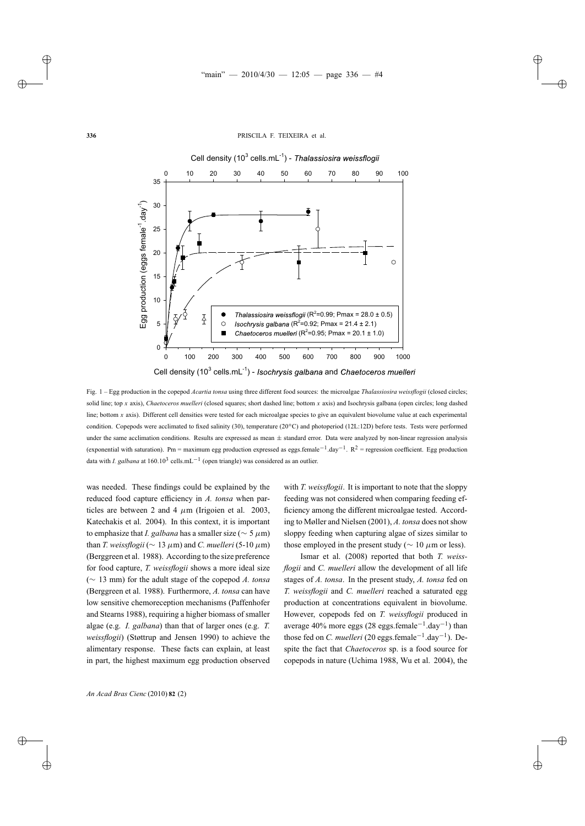

Fig. 1 – Egg production in the copepod *Acartia tonsa* using three different food sources: the microalgae *Thalassiosira weissflogii* (closed circles; solid line; top *x* axis), *Chaetoceros muelleri* (closed squares; short dashed line; bottom *x* axis) and Isochrysis galbana (open circles; long dashed line; bottom *x* axis). Different cell densities were tested for each microalgae species to give an equivalent biovolume value at each experimental condition. Copepods were acclimated to fixed salinity (30), temperature (20◦C) and photoperiod (12L:12D) before tests. Tests were performed under the same acclimation conditions. Results are expressed as mean  $\pm$  standard error. Data were analyzed by non-linear regression analysis (exponential with saturation). Pm = maximum egg production expressed as eggs.female<sup>-1</sup>.day<sup>-1</sup>. R<sup>2</sup> = regression coefficient. Egg production data with *I. galbana* at 160.10<sup>3</sup> cells.mL<sup>-1</sup> (open triangle) was considered as an outlier.

was needed. These findings could be explained by the reduced food capture efficiency in *A. tonsa* when particles are between 2 and 4  $\mu$ m (Irigoien et al. 2003, Katechakis et al. 2004). In this context, it is important to emphasize that *I. galbana* has a smaller size ( $\sim$  5  $\mu$ m) than *T. weissflogii* ( $\sim 13 \mu$ m) and *C. muelleri* (5-10  $\mu$ m) (Berggreen et al. 1988). According to the size preference for food capture, *T. weissflogii* shows a more ideal size (∼ 13 mm) for the adult stage of the copepod *A. tonsa* (Berggreen et al. 1988). Furthermore, *A. tonsa* can have low sensitive chemoreception mechanisms (Paffenhofer and Stearns 1988), requiring a higher biomass of smaller algae (e.g. *I. galbana*) than that of larger ones (e.g. *T. weissflogii*) (Støttrup and Jensen 1990) to achieve the alimentary response. These facts can explain, at least in part, the highest maximum egg production observed with *T. weissflogii*. It is important to note that the sloppy feeding was not considered when comparing feeding efficiency among the different microalgae tested. According to Møller and Nielsen (2001), *A. tonsa* does not show sloppy feeding when capturing algae of sizes similar to those employed in the present study ( $\sim 10 \ \mu m$  or less).

Ismar et al. (2008) reported that both *T. weissflogii* and *C. muelleri* allow the development of all life stages of *A. tonsa*. In the present study, *A. tonsa* fed on *T. weissflogii* and *C. muelleri* reached a saturated egg production at concentrations equivalent in biovolume. However, copepods fed on *T. weissflogii* produced in average 40% more eggs (28 eggs.female<sup>-1</sup>.day<sup>-1</sup>) than those fed on *C. muelleri* (20 eggs.female<sup>-1</sup>.day<sup>-1</sup>). Despite the fact that *Chaetoceros* sp. is a food source for copepods in nature (Uchima 1988, Wu et al. 2004), the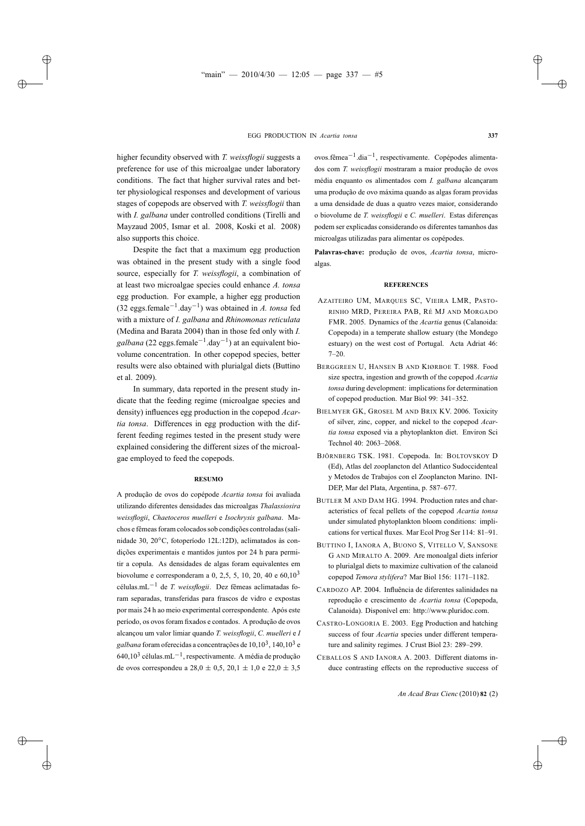higher fecundity observed with *T. weissflogii* suggests a preference for use of this microalgae under laboratory conditions. The fact that higher survival rates and better physiological responses and development of various stages of copepods are observed with *T. weissflogii* than with *I. galbana* under controlled conditions (Tirelli and Mayzaud 2005, Ismar et al. 2008, Koski et al. 2008) also supports this choice.

Despite the fact that a maximum egg production was obtained in the present study with a single food source, especially for *T. weissflogii*, a combination of at least two microalgae species could enhance *A. tonsa* egg production. For example, a higher egg production (32 eggs.female−1.day−1) was obtained in *A. tonsa* fed with a mixture of *I. galbana* and *Rhinomonas reticulata* (Medina and Barata 2004) than in those fed only with *I.* galbana (22 eggs.female<sup>-1</sup>.day<sup>-1</sup>) at an equivalent biovolume concentration. In other copepod species, better results were also obtained with plurialgal diets (Buttino et al. 2009).

In summary, data reported in the present study indicate that the feeding regime (microalgae species and density) influences egg production in the copepod *Acartia tonsa*. Differences in egg production with the different feeding regimes tested in the present study were explained considering the different sizes of the microalgae employed to feed the copepods.

### **RESUMO**

A produção de ovos do copépode *Acartia tonsa* foi avaliada utilizando diferentes densidades das microalgas *Thalassiosira weissflogii*, *Chaetoceros muelleri* e *Isochrysis galbana*. Machos e fêmeas foram colocados sob condições controladas (salinidade 30, 20◦C, fotoperíodo 12L:12D), aclimatados às condições experimentais e mantidos juntos por 24 h para permitir a copula. As densidades de algas foram equivalentes em biovolume e corresponderam a 0, 2,5, 5, 10, 20, 40 e 60,10<sup>3</sup> células.mL−<sup>1</sup> de *T. weissflogii*. Dez fêmeas aclimatadas foram separadas, transferidas para frascos de vidro e expostas por mais 24 h ao meio experimental correspondente. Após este período, os ovos foram fixados e contados. A produção de ovos alcançou um valor limiar quando *T. weissflogii*, *C. muelleri* e *I galbana* foram oferecidas a concentrações de 10,103, 140,103 e 640,10<sup>3</sup> células.mL<sup>-1</sup>, respectivamente. A média de produção de ovos correspondeu a  $28,0 \pm 0,5, 20,1 \pm 1,0$  e  $22,0 \pm 3,5$ 

ovos.fêmea−1.dia−1, respectivamente. Copépodes alimentados com *T. weissflogii* mostraram a maior produção de ovos média enquanto os alimentados com *I. galbana* alcançaram uma produção de ovo máxima quando as algas foram providas a uma densidade de duas a quatro vezes maior, considerando o biovolume de *T. weissflogii* e *C. muelleri*. Estas diferenças podem ser explicadas considerando os diferentes tamanhos das microalgas utilizadas para alimentar os copépodes.

**Palavras-chave:** produção de ovos, *Acartia tonsa*, microalgas.

## **REFERENCES**

- AZAITEIRO UM, MARQUES SC, VIEIRA LMR, PASTO-RINHO MRD, PEREIRA PAB, RÉ MJ AND MORGADO FMR. 2005. Dynamics of the *Acartia* genus (Calanoida: Copepoda) in a temperate shallow estuary (the Mondego estuary) on the west cost of Portugal. Acta Adriat 46: 7–20.
- BERGGREEN U, HANSEN B AND KIØRBOE T. 1988. Food size spectra, ingestion and growth of the copepod *Acartia tonsa* during development: implications for determination of copepod production. Mar Biol 99: 341–352.
- BIELMYER GK, GROSEL M AND BRIX KV. 2006. Toxicity of silver, zinc, copper, and nickel to the copepod *Acartia tonsa* exposed via a phytoplankton diet. Environ Sci Technol 40: 2063–2068.
- BJÖRNBERG TSK. 1981. Copepoda. In: BOLTOVSKOY D (Ed), Atlas del zooplancton del Atlantico Sudoccidenteal y Metodos de Trabajos con el Zooplancton Marino. INI-DEP, Mar del Plata, Argentina, p. 587–677.
- BUTLER M AND DAM HG. 1994. Production rates and characteristics of fecal pellets of the copepod *Acartia tonsa* under simulated phytoplankton bloom conditions: implications for vertical fluxes. Mar Ecol Prog Ser 114: 81–91.
- BUTTINO I, IANORA A, BUONO S, VITELLO V, SANSONE G AND MIRALTO A. 2009. Are monoalgal diets inferior to plurialgal diets to maximize cultivation of the calanoid copepod *Temora stylifera*? Mar Biol 156: 1171–1182.
- CARDOZO AP. 2004. Influência de diferentes salinidades na reprodução e crescimento de *Acartia tonsa* (Copepoda, Calanoida). Disponível em: http://www.pluridoc.com.
- CASTRO-LONGORIA E. 2003. Egg Production and hatching success of four *Acartia* species under different temperature and salinity regimes. J Crust Biol 23: 289–299.
- CEBALLOS S AND IANORA A. 2003. Different diatoms induce contrasting effects on the reproductive success of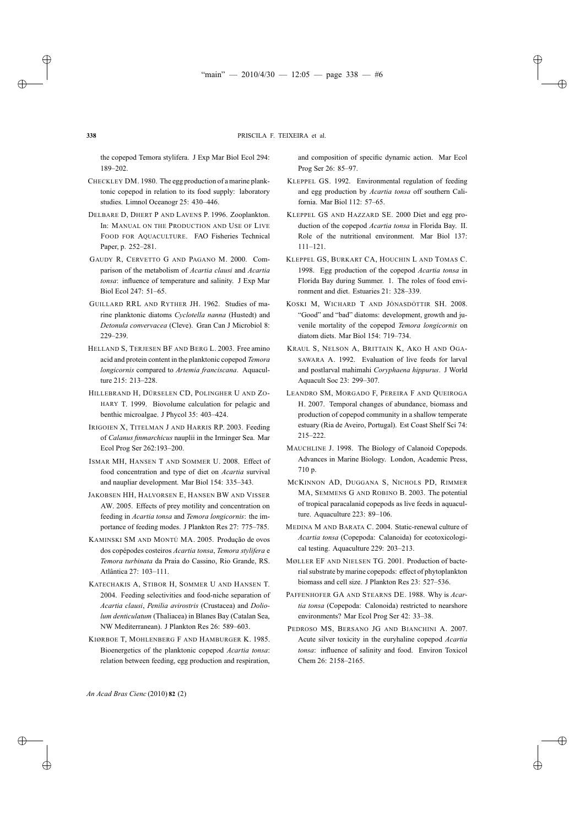the copepod Temora stylifera. J Exp Mar Biol Ecol 294: 189–202.

- CHECKLEY DM. 1980. The egg production of a marine planktonic copepod in relation to its food supply: laboratory studies. Limnol Oceanogr 25: 430–446.
- DELBARE D, DHERT P AND LAVENS P. 1996. Zooplankton. In: MANUAL ON THE PRODUCTION AND USE OF LIVE FOOD FOR AQUACULTURE. FAO Fisheries Technical Paper, p. 252–281.
- GAUDY R, CERVETTO G AND PAGANO M. 2000. Comparison of the metabolism of *Acartia clausi* and *Acartia tonsa*: influence of temperature and salinity. J Exp Mar Biol Ecol 247: 51–65.
- GUILLARD RRL AND RYTHER JH. 1962. Studies of marine planktonic diatoms *Cyclotella nanna* (Hustedt) and *Detonula convervacea* (Cleve). Gran Can J Microbiol 8: 229–239.
- HELLAND S, TERJESEN BF AND BERG L. 2003. Free amino acid and protein content in the planktonic copepod *Temora longicornis* compared to *Artemia franciscana*. Aquaculture 215: 213–228.
- HILLEBRAND H, DÜRSELEN CD, POLINGHER U AND ZO-HARY T. 1999. Biovolume calculation for pelagic and benthic microalgae. J Phycol 35: 403–424.
- IRIGOIEN X, TITELMAN J AND HARRIS RP. 2003. Feeding of *Calanus finmarchicus* nauplii in the Irminger Sea. Mar Ecol Prog Ser 262:193–200.
- ISMAR MH, HANSEN T AND SOMMER U. 2008. Effect of food concentration and type of diet on *Acartia* survival and naupliar development. Mar Biol 154: 335–343.
- JAKOBSEN HH, HALVORSEN E, HANSEN BW AND VISSER AW. 2005. Effects of prey motility and concentration on feeding in *Acartia tonsa* and *Temora longicornis*: the importance of feeding modes. J Plankton Res 27: 775–785.
- KAMINSKI SM AND MONTÚ MA. 2005. Produção de ovos dos copépodes costeiros *Acartia tonsa*, *Temora stylifera* e *Temora turbinata* da Praia do Cassino, Rio Grande, RS. Atlântica 27: 103–111.
- KATECHAKIS A, STIBOR H, SOMMER U AND HANSEN T. 2004. Feeding selectivities and food-niche separation of *Acartia clausi*, *Penilia avirostris* (Crustacea) and *Doliolum denticulatum* (Thaliacea) in Blanes Bay (Catalan Sea, NW Mediterranean). J Plankton Res 26: 589–603.
- KIØRBOE T, MOHLENBERG F AND HAMBURGER K. 1985. Bioenergetics of the planktonic copepod *Acartia tonsa*: relation between feeding, egg production and respiration,

and composition of specific dynamic action. Mar Ecol Prog Ser 26: 85–97.

- KLEPPEL GS. 1992. Environmental regulation of feeding and egg production by *Acartia tonsa* off southern California. Mar Biol 112: 57–65.
- KLEPPEL GS AND HAZZARD SE. 2000 Diet and egg production of the copepod *Acartia tonsa* in Florida Bay. II. Role of the nutritional environment. Mar Biol 137: 111–121.
- KLEPPEL GS, BURKART CA, HOUCHIN L AND TOMAS C. 1998. Egg production of the copepod *Acartia tonsa* in Florida Bay during Summer. 1. The roles of food environment and diet. Estuaries 21: 328–339.
- KOSKI M, WICHARD T AND JÓNASDÓTTIR SH. 2008. "Good" and "bad" diatoms: development, growth and juvenile mortality of the copepod *Temora longicornis* on diatom diets. Mar Biol 154: 719–734.
- KRAUL S, NELSON A, BRITTAIN K, AKO H AND OGA-SAWARA A. 1992. Evaluation of live feeds for larval and postlarval mahimahi *Coryphaena hippurus*. J World Aquacult Soc 23: 299–307.
- LEANDRO SM, MORGADO F, PEREIRA F AND QUEIROGA H. 2007. Temporal changes of abundance, biomass and production of copepod community in a shallow temperate estuary (Ria de Aveiro, Portugal). Est Coast Shelf Sci 74: 215–222.
- MAUCHLINE J. 1998. The Biology of Calanoid Copepods. Advances in Marine Biology. London, Academic Press, 710 p.
- MCKINNON AD, DUGGANA S, NICHOLS PD, RIMMER MA, SEMMENS G AND ROBINO B. 2003. The potential of tropical paracalanid copepods as live feeds in aquaculture. Aquaculture 223: 89–106.
- MEDINA M AND BARATA C. 2004. Static-renewal culture of *Acartia tonsa* (Copepoda: Calanoida) for ecotoxicological testing. Aquaculture 229: 203–213.
- MØLLER EF AND NIELSEN TG. 2001. Production of bacterial substrate by marine copepods: effect of phytoplankton biomass and cell size. J Plankton Res 23: 527–536.
- PAFFENHOFER GA AND STEARNS DE. 1988. Why is *Acartia tonsa* (Copepoda: Calonoida) restricted to nearshore environments? Mar Ecol Prog Ser 42: 33–38.
- PEDROSO MS, BERSANO JG AND BIANCHINI A. 2007. Acute silver toxicity in the euryhaline copepod *Acartia tonsa*: influence of salinity and food. Environ Toxicol Chem 26: 2158–2165.